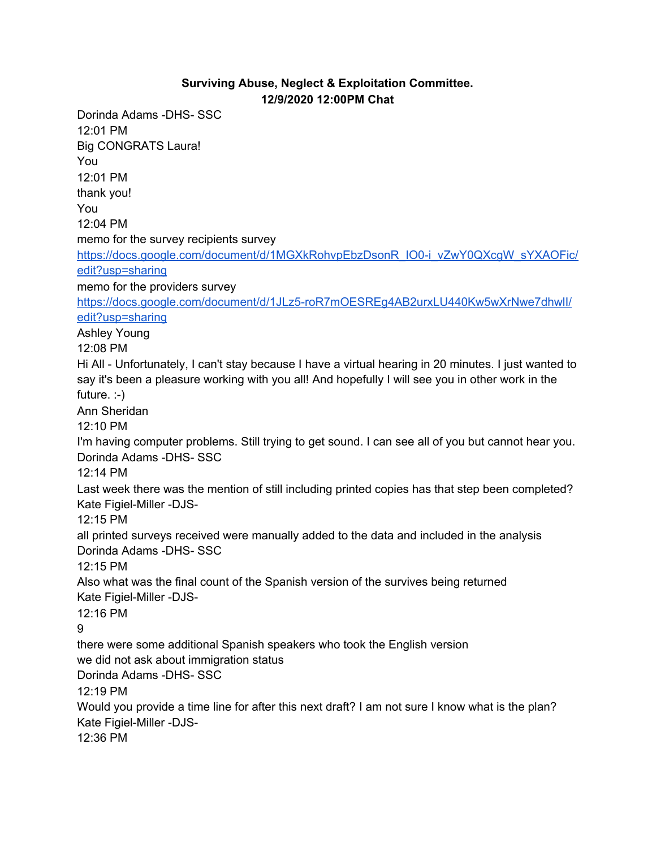## **Surviving Abuse, Neglect & Exploitation Committee. 12/9/2020 12:00PM Chat**

Dorinda Adams -DHS- SSC 12:01 PM Big CONGRATS Laura! You 12:01 PM thank you! You 12:04 PM memo for the survey recipients survey [https://docs.google.com/document/d/1MGXkRohvpEbzDsonR\\_IO0-i\\_vZwY0QXcgW\\_sYXAOFic/](https://meet.google.com/linkredirect?authuser=1&dest=https%3A%2F%2Fdocs.google.com%2Fdocument%2Fd%2F1MGXkRohvpEbzDsonR_IO0-i_vZwY0QXcgW_sYXAOFic%2Fedit%3Fusp%3Dsharing) [edit?usp=sharing](https://meet.google.com/linkredirect?authuser=1&dest=https%3A%2F%2Fdocs.google.com%2Fdocument%2Fd%2F1MGXkRohvpEbzDsonR_IO0-i_vZwY0QXcgW_sYXAOFic%2Fedit%3Fusp%3Dsharing) memo for the providers surve[y](https://meet.google.com/linkredirect?authuser=1&dest=https%3A%2F%2Fdocs.google.com%2Fdocument%2Fd%2F1JLz5-roR7mOESREg4AB2urxLU440Kw5wXrNwe7dhwlI%2Fedit%3Fusp%3Dsharing) [https://docs.google.com/document/d/1JLz5-roR7mOESREg4AB2urxLU440Kw5wXrNwe7dhwlI/](https://meet.google.com/linkredirect?authuser=1&dest=https%3A%2F%2Fdocs.google.com%2Fdocument%2Fd%2F1JLz5-roR7mOESREg4AB2urxLU440Kw5wXrNwe7dhwlI%2Fedit%3Fusp%3Dsharing) [edit?usp=sharing](https://meet.google.com/linkredirect?authuser=1&dest=https%3A%2F%2Fdocs.google.com%2Fdocument%2Fd%2F1JLz5-roR7mOESREg4AB2urxLU440Kw5wXrNwe7dhwlI%2Fedit%3Fusp%3Dsharing) Ashley Young 12:08 PM Hi All - Unfortunately, I can't stay because I have a virtual hearing in 20 minutes. I just wanted to say it's been a pleasure working with you all! And hopefully I will see you in other work in the future. :-) Ann Sheridan 12:10 PM I'm having computer problems. Still trying to get sound. I can see all of you but cannot hear you. Dorinda Adams -DHS- SSC 12:14 PM Last week there was the mention of still including printed copies has that step been completed? Kate Figiel-Miller -DJS-12:15 PM all printed surveys received were manually added to the data and included in the analysis Dorinda Adams -DHS- SSC 12:15 PM Also what was the final count of the Spanish version of the survives being returned Kate Figiel-Miller -DJS-12:16 PM 9 there were some additional Spanish speakers who took the English version we did not ask about immigration status Dorinda Adams -DHS- SSC 12:19 PM Would you provide a time line for after this next draft? I am not sure I know what is the plan? Kate Figiel-Miller -DJS-12:36 PM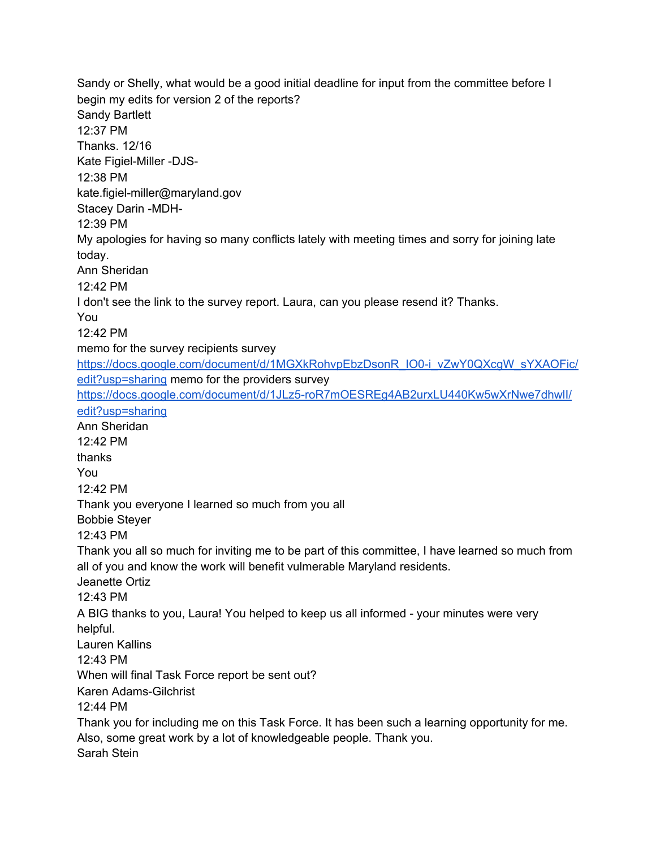Sandy or Shelly, what would be a good initial deadline for input from the committee before I begin my edits for version 2 of the reports? Sandy Bartlett 12:37 PM Thanks. 12/16 Kate Figiel-Miller -DJS-12:38 PM kate.figiel-miller@maryland.gov Stacey Darin -MDH-12:39 PM My apologies for having so many conflicts lately with meeting times and sorry for joining late today. Ann Sheridan 12:42 PM I don't see the link to the survey report. Laura, can you please resend it? Thanks. You 12:42 PM memo for the survey recipients survey [https://docs.google.com/document/d/1MGXkRohvpEbzDsonR\\_IO0-i\\_vZwY0QXcgW\\_sYXAOFic/](https://meet.google.com/linkredirect?authuser=1&dest=https%3A%2F%2Fdocs.google.com%2Fdocument%2Fd%2F1MGXkRohvpEbzDsonR_IO0-i_vZwY0QXcgW_sYXAOFic%2Fedit%3Fusp%3Dsharing) [edit?usp=sharing](https://meet.google.com/linkredirect?authuser=1&dest=https%3A%2F%2Fdocs.google.com%2Fdocument%2Fd%2F1MGXkRohvpEbzDsonR_IO0-i_vZwY0QXcgW_sYXAOFic%2Fedit%3Fusp%3Dsharing) memo for the providers survey [https://docs.google.com/document/d/1JLz5-roR7mOESREg4AB2urxLU440Kw5wXrNwe7dhwlI/](https://meet.google.com/linkredirect?authuser=1&dest=https%3A%2F%2Fdocs.google.com%2Fdocument%2Fd%2F1JLz5-roR7mOESREg4AB2urxLU440Kw5wXrNwe7dhwlI%2Fedit%3Fusp%3Dsharing) [edit?usp=sharing](https://meet.google.com/linkredirect?authuser=1&dest=https%3A%2F%2Fdocs.google.com%2Fdocument%2Fd%2F1JLz5-roR7mOESREg4AB2urxLU440Kw5wXrNwe7dhwlI%2Fedit%3Fusp%3Dsharing) Ann Sheridan 12:42 PM thanks You 12:42 PM Thank you everyone I learned so much from you all Bobbie Steyer 12:43 PM Thank you all so much for inviting me to be part of this committee, I have learned so much from all of you and know the work will benefit vulmerable Maryland residents. Jeanette Ortiz 12:43 PM A BIG thanks to you, Laura! You helped to keep us all informed - your minutes were very helpful. Lauren Kallins 12:43 PM When will final Task Force report be sent out? Karen Adams-Gilchrist 12:44 PM Thank you for including me on this Task Force. It has been such a learning opportunity for me. Also, some great work by a lot of knowledgeable people. Thank you. Sarah Stein